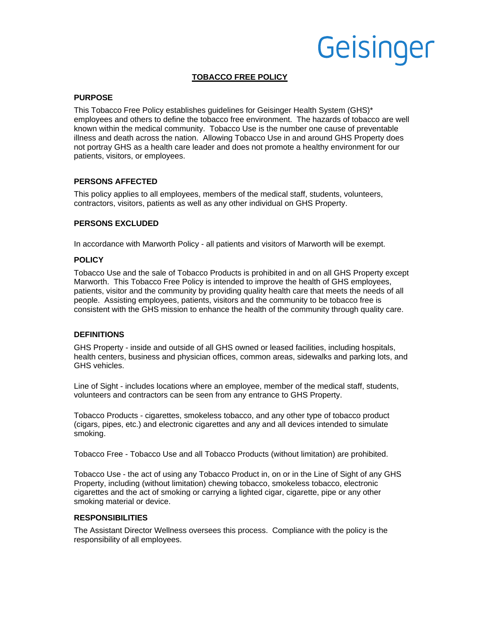# Geisinger

## **TOBACCO FREE POLICY**

#### **PURPOSE**

This Tobacco Free Policy establishes guidelines for Geisinger Health System (GHS)\* employees and others to define the tobacco free environment. The hazards of tobacco are well known within the medical community. Tobacco Use is the number one cause of preventable illness and death across the nation. Allowing Tobacco Use in and around GHS Property does not portray GHS as a health care leader and does not promote a healthy environment for our patients, visitors, or employees.

## **PERSONS AFFECTED**

This policy applies to all employees, members of the medical staff, students, volunteers, contractors, visitors, patients as well as any other individual on GHS Property.

### **PERSONS EXCLUDED**

In accordance with Marworth Policy - all patients and visitors of Marworth will be exempt.

#### **POLICY**

Tobacco Use and the sale of Tobacco Products is prohibited in and on all GHS Property except Marworth. This Tobacco Free Policy is intended to improve the health of GHS employees, patients, visitor and the community by providing quality health care that meets the needs of all people. Assisting employees, patients, visitors and the community to be tobacco free is consistent with the GHS mission to enhance the health of the community through quality care.

#### **DEFINITIONS**

GHS Property - inside and outside of all GHS owned or leased facilities, including hospitals, health centers, business and physician offices, common areas, sidewalks and parking lots, and GHS vehicles.

Line of Sight - includes locations where an employee, member of the medical staff, students, volunteers and contractors can be seen from any entrance to GHS Property.

Tobacco Products - cigarettes, smokeless tobacco, and any other type of tobacco product (cigars, pipes, etc.) and electronic cigarettes and any and all devices intended to simulate smoking.

Tobacco Free - Tobacco Use and all Tobacco Products (without limitation) are prohibited.

Tobacco Use - the act of using any Tobacco Product in, on or in the Line of Sight of any GHS Property, including (without limitation) chewing tobacco, smokeless tobacco, electronic cigarettes and the act of smoking or carrying a lighted cigar, cigarette, pipe or any other smoking material or device.

#### **RESPONSIBILITIES**

The Assistant Director Wellness oversees this process. Compliance with the policy is the responsibility of all employees.